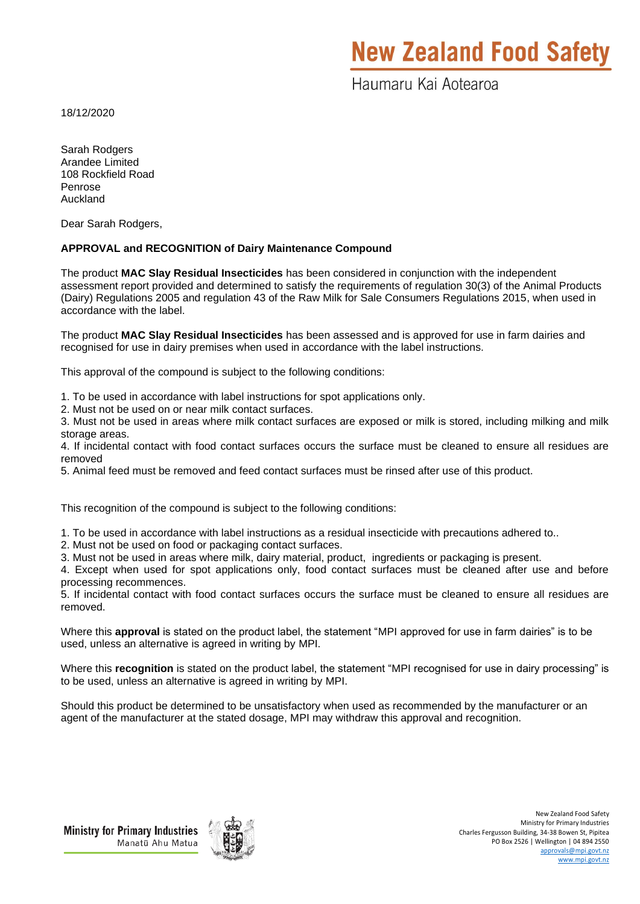# **New Zealand Food Safety**

Haumaru Kai Aotearoa

18/12/2020

Sarah Rodgers Arandee Limited 108 Rockfield Road Penrose Auckland

Dear Sarah Rodgers,

### **APPROVAL and RECOGNITION of Dairy Maintenance Compound**

The product **MAC Slay Residual Insecticides** has been considered in conjunction with the independent assessment report provided and determined to satisfy the requirements of regulation 30(3) of the Animal Products (Dairy) Regulations 2005 and regulation 43 of the Raw Milk for Sale Consumers Regulations 2015, when used in accordance with the label.

The product **MAC Slay Residual Insecticides** has been assessed and is approved for use in farm dairies and recognised for use in dairy premises when used in accordance with the label instructions.

This approval of the compound is subject to the following conditions:

- 1. To be used in accordance with label instructions for spot applications only.
- 2. Must not be used on or near milk contact surfaces.

3. Must not be used in areas where milk contact surfaces are exposed or milk is stored, including milking and milk storage areas.

4. If incidental contact with food contact surfaces occurs the surface must be cleaned to ensure all residues are removed

5. Animal feed must be removed and feed contact surfaces must be rinsed after use of this product.

This recognition of the compound is subject to the following conditions:

1. To be used in accordance with label instructions as a residual insecticide with precautions adhered to..

- 2. Must not be used on food or packaging contact surfaces.
- 3. Must not be used in areas where milk, dairy material, product, ingredients or packaging is present.

4. Except when used for spot applications only, food contact surfaces must be cleaned after use and before processing recommences.

5. If incidental contact with food contact surfaces occurs the surface must be cleaned to ensure all residues are removed.

Where this **approval** is stated on the product label, the statement "MPI approved for use in farm dairies" is to be used, unless an alternative is agreed in writing by MPI.

Where this **recognition** is stated on the product label, the statement "MPI recognised for use in dairy processing" is to be used, unless an alternative is agreed in writing by MPI.

Should this product be determined to be unsatisfactory when used as recommended by the manufacturer or an agent of the manufacturer at the stated dosage, MPI may withdraw this approval and recognition.

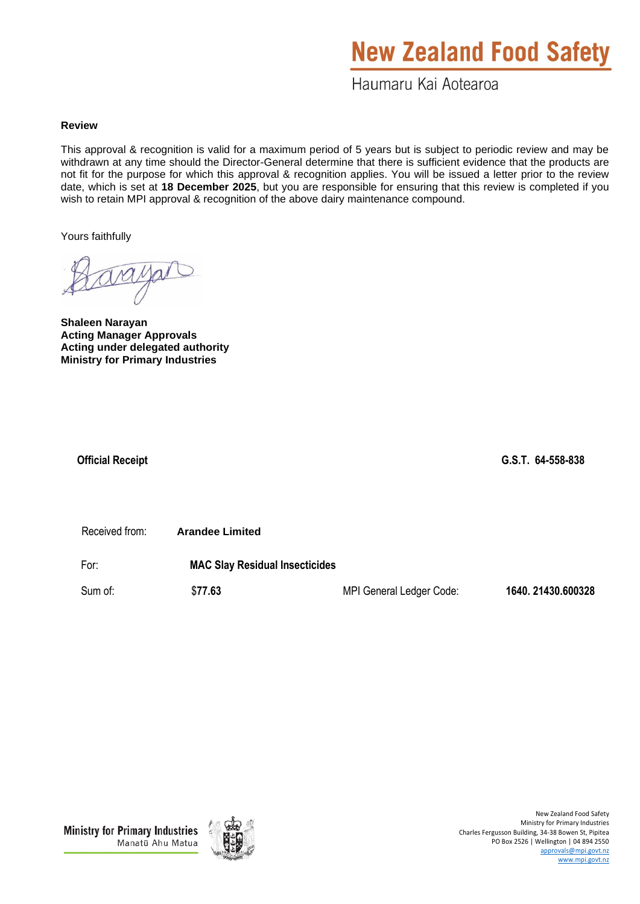# **New Zealand Food Safety**

Haumaru Kai Aotearoa

### **Review**

This approval & recognition is valid for a maximum period of 5 years but is subject to periodic review and may be withdrawn at any time should the Director-General determine that there is sufficient evidence that the products are not fit for the purpose for which this approval & recognition applies. You will be issued a letter prior to the review date, which is set at **18 December 2025**, but you are responsible for ensuring that this review is completed if you wish to retain MPI approval & recognition of the above dairy maintenance compound.

Yours faithfully

**Shaleen Narayan Acting Manager Approvals Acting under delegated authority Ministry for Primary Industries**

 **Official Receipt G.S.T. 64-558-838** 

Received from: **Arandee Limited**

For: **MAC Slay Residual Insecticides**

Sum of: \$**77.63** MPI General Ledger Code: **1640. 21430.600328**

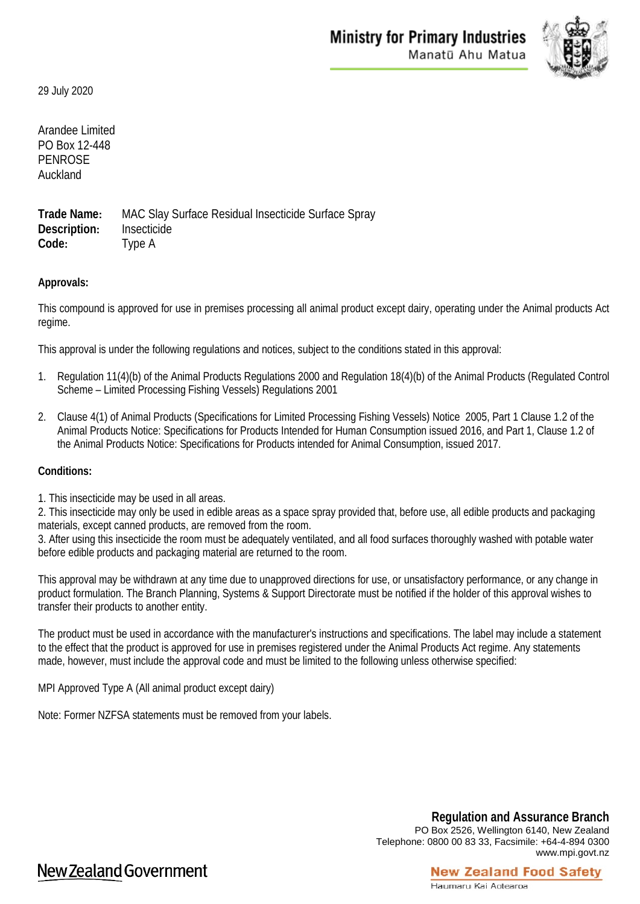

29 July 2020

Arandee Limited PO Box 12-448 PENROSE Auckland

**Trade Name:** MAC Slay Surface Residual Insecticide Surface Spray **Description:** Insecticide **Code:** Type A

## **Approvals:**

This compound is approved for use in premises processing all animal product except dairy, operating under the Animal products Act regime.

This approval is under the following regulations and notices, subject to the conditions stated in this approval:

- 1. Regulation 11(4)(b) of the Animal Products Regulations 2000 and Regulation 18(4)(b) of the Animal Products (Regulated Control Scheme – Limited Processing Fishing Vessels) Regulations 2001
- 2. Clause 4(1) of Animal Products (Specifications for Limited Processing Fishing Vessels) Notice 2005, Part 1 Clause 1.2 of the Animal Products Notice: Specifications for Products Intended for Human Consumption issued 2016, and Part 1, Clause 1.2 of the Animal Products Notice: Specifications for Products intended for Animal Consumption, issued 2017.

#### **Conditions:**

1. This insecticide may be used in all areas.

2. This insecticide may only be used in edible areas as a space spray provided that, before use, all edible products and packaging materials, except canned products, are removed from the room.

3. After using this insecticide the room must be adequately ventilated, and all food surfaces thoroughly washed with potable water before edible products and packaging material are returned to the room.

This approval may be withdrawn at any time due to unapproved directions for use, or unsatisfactory performance, or any change in product formulation. The Branch Planning, Systems & Support Directorate must be notified if the holder of this approval wishes to transfer their products to another entity.

The product must be used in accordance with the manufacturer's instructions and specifications. The label may include a statement to the effect that the product is approved for use in premises registered under the Animal Products Act regime. Any statements made, however, must include the approval code and must be limited to the following unless otherwise specified:

MPI Approved Type A (All animal product except dairy)

Note: Former NZFSA statements must be removed from your labels.

**Regulation and Assurance Branch** PO Box 2526, Wellington 6140, New Zealand Telephone: 0800 00 83 33, Facsimile: +64-4-894 0300 www.mpi.govt.nz

**New Zealand Food Safety** 

# New Zealand Government

#### Haumaru Kai Aotearoa